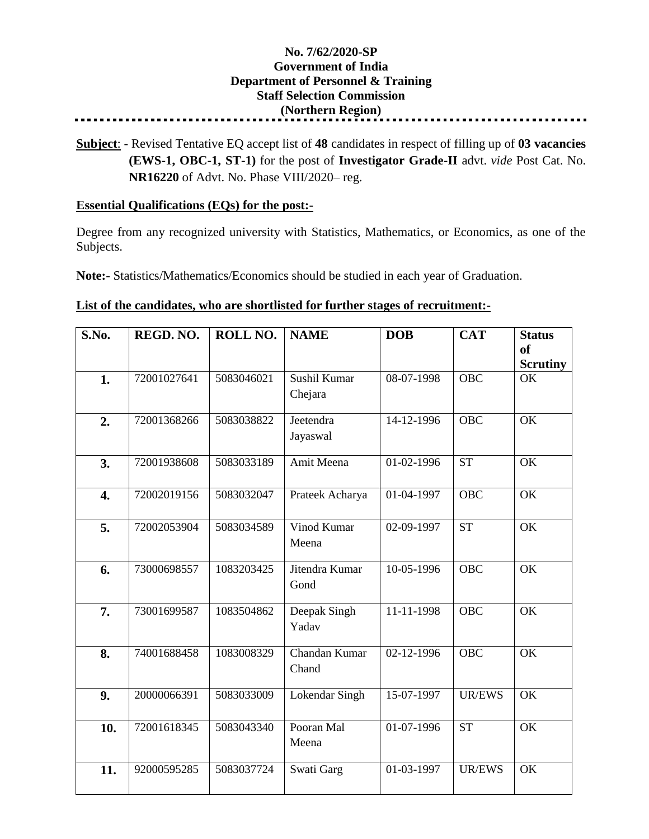## **No. 7/62/2020-SP Government of India Department of Personnel & Training Staff Selection Commission (Northern Region)**

**Subject**: - Revised Tentative EQ accept list of **48** candidates in respect of filling up of **03 vacancies (EWS-1, OBC-1, ST-1)** for the post of **Investigator Grade-II** advt. *vide* Post Cat. No. **NR16220** of Advt. No. Phase VIII/2020– reg.

## **Essential Qualifications (EQs) for the post:-**

Degree from any recognized university with Statistics, Mathematics, or Economics, as one of the Subjects.

**Note:**- Statistics/Mathematics/Economics should be studied in each year of Graduation.

## **List of the candidates, who are shortlisted for further stages of recruitment:-**

| S.No.            | REGD. NO.   | ROLL NO.   | <b>NAME</b>     | <b>DOB</b>       | <b>CAT</b>    | <b>Status</b><br><sub>of</sub> |
|------------------|-------------|------------|-----------------|------------------|---------------|--------------------------------|
|                  |             |            |                 |                  |               | <b>Scrutiny</b>                |
| 1.               | 72001027641 | 5083046021 | Sushil Kumar    | 08-07-1998       | <b>OBC</b>    | OK                             |
|                  |             |            | Chejara         |                  |               |                                |
| 2.               | 72001368266 | 5083038822 | Jeetendra       | 14-12-1996       | <b>OBC</b>    | OK                             |
|                  |             |            | Jayaswal        |                  |               |                                |
| 3.               | 72001938608 | 5083033189 | Amit Meena      | 01-02-1996       | <b>ST</b>     | OK                             |
| $\overline{4}$ . | 72002019156 | 5083032047 |                 | 01-04-1997       | <b>OBC</b>    | OK                             |
|                  |             |            | Prateek Acharya |                  |               |                                |
| 5.               | 72002053904 | 5083034589 | Vinod Kumar     | 02-09-1997       | <b>ST</b>     | OK                             |
|                  |             |            | Meena           |                  |               |                                |
| 6.               | 73000698557 | 1083203425 | Jitendra Kumar  | 10-05-1996       | <b>OBC</b>    | OK                             |
|                  |             |            | Gond            |                  |               |                                |
| 7.               | 73001699587 | 1083504862 | Deepak Singh    | $11 - 11 - 1998$ | <b>OBC</b>    | OK                             |
|                  |             |            | Yadav           |                  |               |                                |
| 8.               | 74001688458 | 1083008329 | Chandan Kumar   | 02-12-1996       | <b>OBC</b>    | OK                             |
|                  |             |            | Chand           |                  |               |                                |
| 9.               | 20000066391 | 5083033009 | Lokendar Singh  | 15-07-1997       | <b>UR/EWS</b> | OK                             |
|                  |             |            |                 |                  |               |                                |
| 10.              | 72001618345 | 5083043340 | Pooran Mal      | 01-07-1996       | <b>ST</b>     | OK                             |
|                  |             |            | Meena           |                  |               |                                |
| 11.              | 92000595285 | 5083037724 | Swati Garg      | 01-03-1997       | <b>UR/EWS</b> | OK                             |
|                  |             |            |                 |                  |               |                                |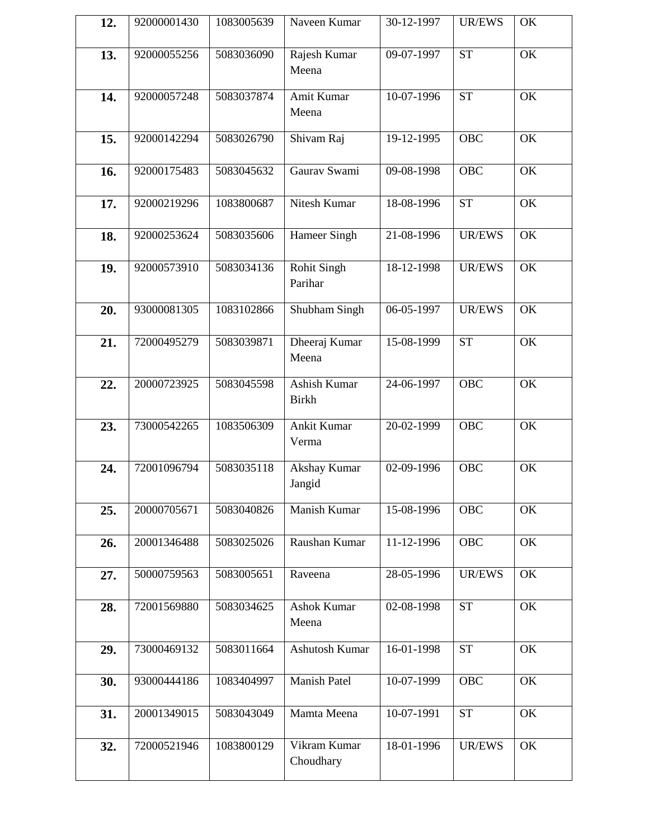| 12. | 92000001430 | 1083005639 | Naveen Kumar                 | 30-12-1997 | <b>UR/EWS</b> | OK |
|-----|-------------|------------|------------------------------|------------|---------------|----|
| 13. | 92000055256 | 5083036090 | Rajesh Kumar<br>Meena        | 09-07-1997 | <b>ST</b>     | OK |
| 14. | 92000057248 | 5083037874 | Amit Kumar<br>Meena          | 10-07-1996 | <b>ST</b>     | OK |
| 15. | 92000142294 | 5083026790 | Shivam Raj                   | 19-12-1995 | <b>OBC</b>    | OK |
| 16. | 92000175483 | 5083045632 | Gaurav Swami                 | 09-08-1998 | OBC           | OK |
| 17. | 92000219296 | 1083800687 | Nitesh Kumar                 | 18-08-1996 | <b>ST</b>     | OK |
| 18. | 92000253624 | 5083035606 | Hameer Singh                 | 21-08-1996 | <b>UR/EWS</b> | OK |
| 19. | 92000573910 | 5083034136 | Rohit Singh<br>Parihar       | 18-12-1998 | <b>UR/EWS</b> | OK |
| 20. | 93000081305 | 1083102866 | Shubham Singh                | 06-05-1997 | <b>UR/EWS</b> | OK |
| 21. | 72000495279 | 5083039871 | Dheeraj Kumar<br>Meena       | 15-08-1999 | <b>ST</b>     | OK |
| 22. | 20000723925 | 5083045598 | Ashish Kumar<br><b>Birkh</b> | 24-06-1997 | OBC           | OK |
| 23. | 73000542265 | 1083506309 | Ankit Kumar<br>Verma         | 20-02-1999 | <b>OBC</b>    | OK |
| 24. | 72001096794 | 5083035118 | Akshay Kumar<br>Jangid       | 02-09-1996 | <b>OBC</b>    | OK |
| 25. | 20000705671 | 5083040826 | Manish Kumar                 | 15-08-1996 | OBC           | OK |
| 26. | 20001346488 | 5083025026 | Raushan Kumar                | 11-12-1996 | <b>OBC</b>    | OK |
| 27. | 50000759563 | 5083005651 | Raveena                      | 28-05-1996 | UR/EWS        | OK |
| 28. | 72001569880 | 5083034625 | Ashok Kumar<br>Meena         | 02-08-1998 | <b>ST</b>     | OK |
| 29. | 73000469132 | 5083011664 | Ashutosh Kumar               | 16-01-1998 | <b>ST</b>     | OK |
| 30. | 93000444186 | 1083404997 | <b>Manish Patel</b>          | 10-07-1999 | <b>OBC</b>    | OK |
| 31. | 20001349015 | 5083043049 | Mamta Meena                  | 10-07-1991 | <b>ST</b>     | OK |
| 32. | 72000521946 | 1083800129 | Vikram Kumar<br>Choudhary    | 18-01-1996 | <b>UR/EWS</b> | OK |